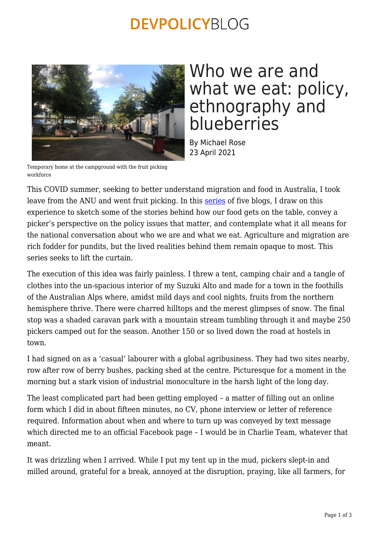### **DEVPOLICYBLOG**



## Who we are and what we eat: policy, ethnography and blueberries

By Michael Rose 23 April 2021

Temporary home at the campground with the fruit picking workforce

This COVID summer, seeking to better understand migration and food in Australia, I took leave from the ANU and went fruit picking. In this [series](https://devpolicy.org/tag/fruit-picking-series/) of five blogs, I draw on this experience to sketch some of the stories behind how our food gets on the table, convey a picker's perspective on the policy issues that matter, and contemplate what it all means for the national conversation about who we are and what we eat. Agriculture and migration are rich fodder for pundits, but the lived realities behind them remain opaque to most. This series seeks to lift the curtain.

The execution of this idea was fairly painless. I threw a tent, camping chair and a tangle of clothes into the un-spacious interior of my Suzuki Alto and made for a town in the foothills of the Australian Alps where, amidst mild days and cool nights, fruits from the northern hemisphere thrive. There were charred hilltops and the merest glimpses of snow. The final stop was a shaded caravan park with a mountain stream tumbling through it and maybe 250 pickers camped out for the season. Another 150 or so lived down the road at hostels in town.

I had signed on as a 'casual' labourer with a global agribusiness. They had two sites nearby, row after row of berry bushes, packing shed at the centre. Picturesque for a moment in the morning but a stark vision of industrial monoculture in the harsh light of the long day.

The least complicated part had been getting employed – a matter of filling out an online form which I did in about fifteen minutes, no CV, phone interview or letter of reference required. Information about when and where to turn up was conveyed by text message which directed me to an official Facebook page – I would be in Charlie Team, whatever that meant.

It was drizzling when I arrived. While I put my tent up in the mud, pickers slept-in and milled around, grateful for a break, annoyed at the disruption, praying, like all farmers, for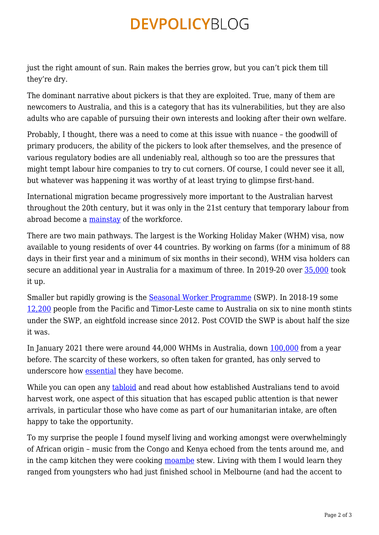## **DEVPOLICYBLOG**

just the right amount of sun. Rain makes the berries grow, but you can't pick them till they're dry.

The dominant narrative about pickers is that they are exploited. True, many of them are newcomers to Australia, and this is a category that has its vulnerabilities, but they are also adults who are capable of pursuing their own interests and looking after their own welfare.

Probably, I thought, there was a need to come at this issue with nuance – the goodwill of primary producers, the ability of the pickers to look after themselves, and the presence of various regulatory bodies are all undeniably real, although so too are the pressures that might tempt labour hire companies to try to cut corners. Of course, I could never see it all, but whatever was happening it was worthy of at least trying to glimpse first-hand.

International migration became progressively more important to the Australian harvest throughout the 20th century, but it was only in the 21st century that temporary labour from abroad become a [mainstay](https://www.ppesydney.net/content/uploads/2020/05/Australias-future-horticultural-workforce-Assessing-the-agricultural-visa-concept.pdf) of the workforce.

There are two main pathways. The largest is the Working Holiday Maker (WHM) visa, now available to young residents of over 44 countries. By working on farms (for a minimum of 88 days in their first year and a minimum of six months in their second), WHM visa holders can secure an additional year in Australia for a maximum of three. In 2019-20 over [35,000](https://devpolicy.org/working-holiday-makers-not-a-long-term-solution-for-horticulture-20200819/) took it up.

Smaller but rapidly growing is the [Seasonal Worker Programme](https://www.employment.gov.au/seasonal-worker-programme) (SWP). In 2018-19 some [12,200](http://devpolicy.org/publications/reports/Governance_SWP_2020_WEB.pdf) people from the Pacific and Timor-Leste came to Australia on six to nine month stints under the SWP, an eightfold increase since 2012. Post COVID the SWP is about half the size it was.

In January 2021 there were around 44,000 WHMs in Australia, down [100,000](https://immi.homeaffairs.gov.au/programs-subsite/files/administration-immigration-program.pdf) from a year before. The scarcity of these workers, so often taken for granted, has only served to underscore how [essential](https://www.canberratimes.com.au/story/7078442/summer-harvest-worker-boost-but-more-seasonal-workers-needed/?cs=14264) they have become.

While you can open any [tabloid](https://www.dailytelegraph.com.au/news/national/some-australians-are-job-snobs/video/deb4548bd3c2e09b7b38312f9aad4b58) and read about how established Australians tend to avoid harvest work, one aspect of this situation that has escaped public attention is that newer arrivals, in particular those who have come as part of our humanitarian intake, are often happy to take the opportunity.

To my surprise the people I found myself living and working amongst were overwhelmingly of African origin – music from the Congo and Kenya echoed from the tents around me, and in the camp kitchen they were cooking [moambe](https://www.food.com/recipe/congo-chicken-moambe-stew-159776) stew. Living with them I would learn they ranged from youngsters who had just finished school in Melbourne (and had the accent to